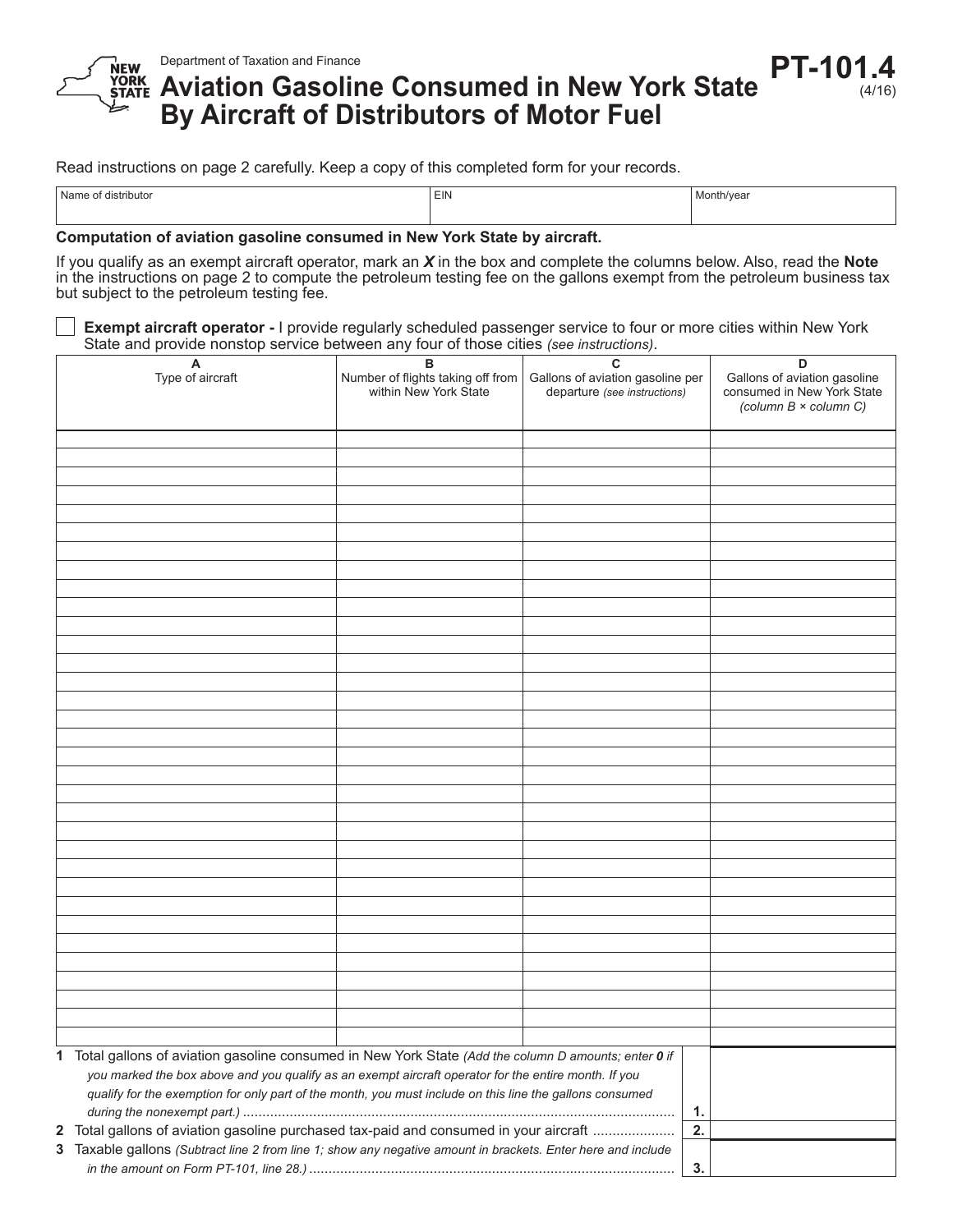

## **Aviation Gasoline Consumed in New York State By Aircraft of Distributors of Motor Fuel PT-101.4**

(4/16)

Read instructions on page 2 carefully. Keep a copy of this completed form for your records.

| $^{\circ}$ M <sub>a</sub><br>Trini Itor | $-$<br>EIN | Month/ve |
|-----------------------------------------|------------|----------|
|                                         |            |          |

**Computation of aviation gasoline consumed in New York State by aircraft.**

If you qualify as an exempt aircraft operator, mark an *X* in the box and complete the columns below. Also, read the **Note** in the instructions on page 2 to compute the petroleum testing fee on the gallons exempt from the petroleum business tax but subject to the petroleum testing fee.

**Exempt aircraft operator -** I provide regularly scheduled passenger service to four or more cities within New York State and provide nonstop service between any four of those cities *(see instructions)*.

| A<br>Type of aircraft                                                                                        | в<br>Number of flights taking off from<br>within New York State | C<br>Gallons of aviation gasoline per | D<br>Gallons of aviation gasoline                   |
|--------------------------------------------------------------------------------------------------------------|-----------------------------------------------------------------|---------------------------------------|-----------------------------------------------------|
|                                                                                                              |                                                                 | departure (see instructions)          | consumed in New York State<br>(column B × column C) |
|                                                                                                              |                                                                 |                                       |                                                     |
|                                                                                                              |                                                                 |                                       |                                                     |
|                                                                                                              |                                                                 |                                       |                                                     |
|                                                                                                              |                                                                 |                                       |                                                     |
|                                                                                                              |                                                                 |                                       |                                                     |
|                                                                                                              |                                                                 |                                       |                                                     |
|                                                                                                              |                                                                 |                                       |                                                     |
|                                                                                                              |                                                                 |                                       |                                                     |
|                                                                                                              |                                                                 |                                       |                                                     |
|                                                                                                              |                                                                 |                                       |                                                     |
|                                                                                                              |                                                                 |                                       |                                                     |
|                                                                                                              |                                                                 |                                       |                                                     |
|                                                                                                              |                                                                 |                                       |                                                     |
|                                                                                                              |                                                                 |                                       |                                                     |
|                                                                                                              |                                                                 |                                       |                                                     |
|                                                                                                              |                                                                 |                                       |                                                     |
|                                                                                                              |                                                                 |                                       |                                                     |
|                                                                                                              |                                                                 |                                       |                                                     |
|                                                                                                              |                                                                 |                                       |                                                     |
|                                                                                                              |                                                                 |                                       |                                                     |
|                                                                                                              |                                                                 |                                       |                                                     |
|                                                                                                              |                                                                 |                                       |                                                     |
|                                                                                                              |                                                                 |                                       |                                                     |
|                                                                                                              |                                                                 |                                       |                                                     |
|                                                                                                              |                                                                 |                                       |                                                     |
|                                                                                                              |                                                                 |                                       |                                                     |
|                                                                                                              |                                                                 |                                       |                                                     |
|                                                                                                              |                                                                 |                                       |                                                     |
|                                                                                                              |                                                                 |                                       |                                                     |
|                                                                                                              |                                                                 |                                       |                                                     |
|                                                                                                              |                                                                 |                                       |                                                     |
|                                                                                                              |                                                                 |                                       |                                                     |
|                                                                                                              |                                                                 |                                       |                                                     |
|                                                                                                              |                                                                 |                                       |                                                     |
| 1 Total gallons of aviation gasoline consumed in New York State (Add the column D amounts; enter 0 if        |                                                                 |                                       |                                                     |
| you marked the box above and you qualify as an exempt aircraft operator for the entire month. If you         |                                                                 |                                       |                                                     |
| qualify for the exemption for only part of the month, you must include on this line the gallons consumed     |                                                                 |                                       |                                                     |
|                                                                                                              |                                                                 |                                       | 1.                                                  |
| 2 Total gallons of aviation gasoline purchased tax-paid and consumed in your aircraft                        |                                                                 |                                       | 2.                                                  |
| 3 Taxable gallons (Subtract line 2 from line 1; show any negative amount in brackets. Enter here and include |                                                                 |                                       |                                                     |
|                                                                                                              |                                                                 |                                       |                                                     |